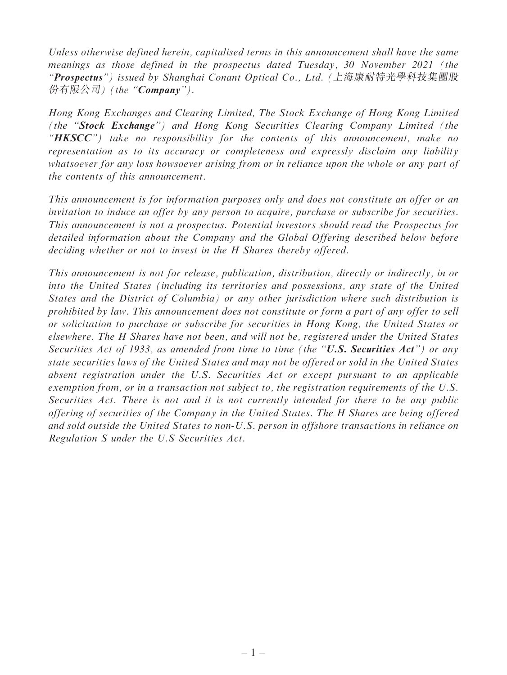Unless otherwise defined herein, capitalised terms in this announcement shall have the same meanings as those defined in the prospectus dated Tuesday, 30 November 2021 (the ''Prospectus'') issued by Shanghai Conant Optical Co., Ltd. (上海康耐特光學科技集團股 份有限公司) (the "Company").

Hong Kong Exchanges and Clearing Limited, The Stock Exchange of Hong Kong Limited (the ''Stock Exchange'') and Hong Kong Securities Clearing Company Limited (the " $HKSCC"$ ) take no responsibility for the contents of this announcement, make no representation as to its accuracy or completeness and expressly disclaim any liability whatsoever for any loss howsoever arising from or in reliance upon the whole or any part of the contents of this announcement.

This announcement is for information purposes only and does not constitute an offer or an invitation to induce an offer by any person to acquire, purchase or subscribe for securities. This announcement is not a prospectus. Potential investors should read the Prospectus for detailed information about the Company and the Global Offering described below before deciding whether or not to invest in the H Shares thereby offered.

This announcement is not for release, publication, distribution, directly or indirectly, in or into the United States (including its territories and possessions, any state of the United States and the District of Columbia) or any other jurisdiction where such distribution is prohibited by law. This announcement does not constitute or form a part of any offer to sell or solicitation to purchase or subscribe for securities in Hong Kong, the United States or elsewhere. The H Shares have not been, and will not be, registered under the United States Securities Act of 1933, as amended from time to time (the "U.S. Securities Act") or any state securities laws of the United States and may not be offered or sold in the United States absent registration under the U.S. Securities Act or except pursuant to an applicable exemption from, or in a transaction not subject to, the registration requirements of the U.S. Securities Act. There is not and it is not currently intended for there to be any public offering of securities of the Company in the United States. The H Shares are being offered and sold outside the United States to non-U.S. person in offshore transactions in reliance on Regulation S under the U.S Securities Act.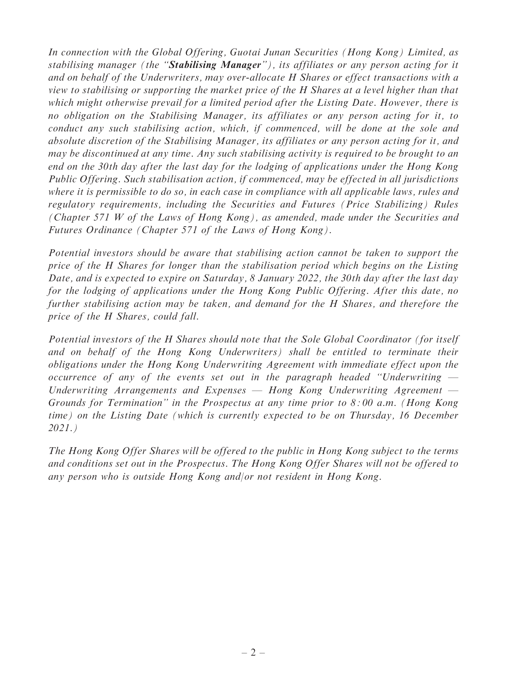In connection with the Global Offering, Guotai Junan Securities (Hong Kong) Limited, as stabilising manager (the "**Stabilising Manager**"), its affiliates or any person acting for it and on behalf of the Underwriters, may over-allocate H Shares or effect transactions with a view to stabilising or supporting the market price of the H Shares at a level higher than that which might otherwise prevail for a limited period after the Listing Date. However, there is no obligation on the Stabilising Manager, its affiliates or any person acting for it, to conduct any such stabilising action, which, if commenced, will be done at the sole and absolute discretion of the Stabilising Manager, its affiliates or any person acting for it, and may be discontinued at any time. Any such stabilising activity is required to be brought to an end on the 30th day after the last day for the lodging of applications under the Hong Kong Public Offering. Such stabilisation action, if commenced, may be effected in all jurisdictions where it is permissible to do so, in each case in compliance with all applicable laws, rules and regulatory requirements, including the Securities and Futures (Price Stabilizing) Rules (Chapter 571 W of the Laws of Hong Kong), as amended, made under the Securities and Futures Ordinance (Chapter 571 of the Laws of Hong Kong).

Potential investors should be aware that stabilising action cannot be taken to support the price of the H Shares for longer than the stabilisation period which begins on the Listing Date, and is expected to expire on Saturday, 8 January 2022, the 30th day after the last day for the lodging of applications under the Hong Kong Public Offering. After this date, no further stabilising action may be taken, and demand for the H Shares, and therefore the price of the H Shares, could fall.

Potential investors of the H Shares should note that the Sole Global Coordinator (for itself and on behalf of the Hong Kong Underwriters) shall be entitled to terminate their obligations under the Hong Kong Underwriting Agreement with immediate effect upon the occurrence of any of the events set out in the paragraph headed "Underwriting  $-$ Underwriting Arrangements and Expenses  $-$  Hong Kong Underwriting Agreement  $-$ Grounds for Termination" in the Prospectus at any time prior to  $8:00$  a.m. (Hong Kong time) on the Listing Date (which is currently expected to be on Thursday, 16 December 2021.)

The Hong Kong Offer Shares will be offered to the public in Hong Kong subject to the terms and conditions set out in the Prospectus. The Hong Kong Offer Shares will not be offered to any person who is outside Hong Kong and/or not resident in Hong Kong.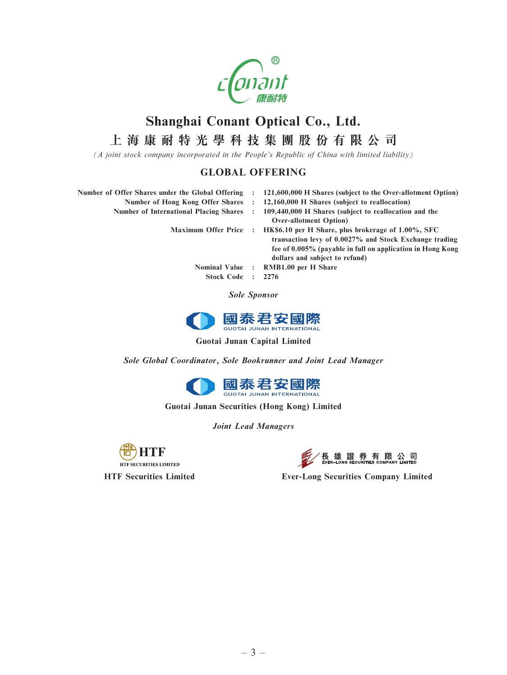

# Shanghai Conant Optical Co., Ltd. 上 海 康 耐 特 光 學 科 技 集 團 股 份 有 限 公 司

(A joint stock company incorporated in the People's Republic of China with limited liability)

#### GLOBAL OFFERING

| Number of Offer Shares under the Global Offering : | 121,600,000 H Shares (subject to the Over-allotment Option)                                                                                                                                                  |
|----------------------------------------------------|--------------------------------------------------------------------------------------------------------------------------------------------------------------------------------------------------------------|
| Number of Hong Kong Offer Shares :                 | 12,160,000 H Shares (subject to reallocation)                                                                                                                                                                |
| Number of International Placing Shares :           | 109,440,000 H Shares (subject to reallocation and the<br><b>Over-allotment Option</b> )                                                                                                                      |
| <b>Maximum Offer Price:</b>                        | HK\$6.10 per H Share, plus brokerage of 1.00%, SFC<br>transaction levy of 0.0027% and Stock Exchange trading<br>fee of 0.005% (payable in full on application in Hong Kong<br>dollars and subject to refund) |
|                                                    | Nominal Value : RMB1.00 per H Share                                                                                                                                                                          |
| Stock Code : 2276                                  |                                                                                                                                                                                                              |
|                                                    |                                                                                                                                                                                                              |

Sole Sponsor



Guotai Junan Capital Limited

Sole Global Coordinator, Sole Bookrunner and Joint Lead Manager



Guotai Junan Securities (Hong Kong) Limited

Joint Lead Managers



HTF SECURITIES LIMITED



HTF Securities Limited Ever-Long Securities Company Limited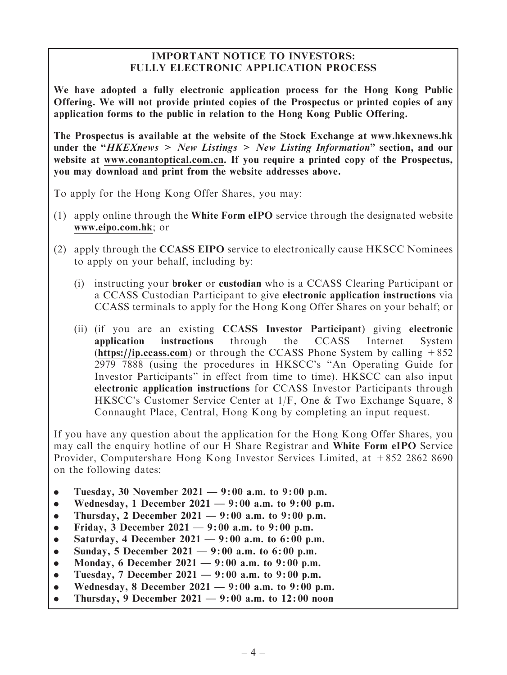#### IMPORTANT NOTICE TO INVESTORS: FULLY ELECTRONIC APPLICATION PROCESS

We have adopted a fully electronic application process for the Hong Kong Public Offering. We will not provide printed copies of the Prospectus or printed copies of any application forms to the public in relation to the Hong Kong Public Offering.

The Prospectus is available at the website of the Stock Exchange at www.hkexnews.hk under the "HKEXnews > New Listings > New Listing Information" section, and our website at www.conantoptical.com.cn. If you require a printed copy of the Prospectus, you may download and print from the website addresses above.

To apply for the Hong Kong Offer Shares, you may:

- (1) apply online through the White Form eIPO service through the designated website www.eipo.com.hk; or
- (2) apply through the CCASS EIPO service to electronically cause HKSCC Nominees to apply on your behalf, including by:
	- (i) instructing your broker or custodian who is a CCASS Clearing Participant or a CCASS Custodian Participant to give electronic application instructions via CCASS terminals to apply for the Hong Kong Offer Shares on your behalf; or
	- (ii) (if you are an existing CCASS Investor Participant) giving electronic application instructions through the CCASS Internet System (https://ip.ccass.com) or through the CCASS Phone System by calling  $+852$ 2979 7888 (using the procedures in HKSCC's ''An Operating Guide for Investor Participants'' in effect from time to time). HKSCC can also input electronic application instructions for CCASS Investor Participants through HKSCC's Customer Service Center at 1/F, One & Two Exchange Square, 8 Connaught Place, Central, Hong Kong by completing an input request.

If you have any question about the application for the Hong Kong Offer Shares, you may call the enquiry hotline of our H Share Registrar and White Form eIPO Service Provider, Computershare Hong Kong Investor Services Limited, at +852 2862 8690 on the following dates:

- Tuesday, 30 November  $2021 9:00$  a.m. to  $9:00$  p.m.
- Wednesday, 1 December  $2021 9:00$  a.m. to  $9:00$  p.m.
- Thursday, 2 December  $2021 9:00$  a.m. to  $9:00$  p.m.
- Friday, 3 December  $2021 9:00$  a.m. to  $9:00$  p.m.
- Saturday, 4 December  $2021 9:00$  a.m. to  $6:00$  p.m.
- Sunday, 5 December  $2021 9:00$  a.m. to  $6:00$  p.m.
- Monday, 6 December  $2021 9:00$  a.m. to  $9:00$  p.m.
- Tuesday, 7 December  $2021 9:00$  a.m. to  $9:00$  p.m.
- Wednesday, 8 December  $2021 9:00$  a.m. to  $9:00$  p.m.
- Thursday, 9 December  $2021 9:00$  a.m. to  $12:00$  noon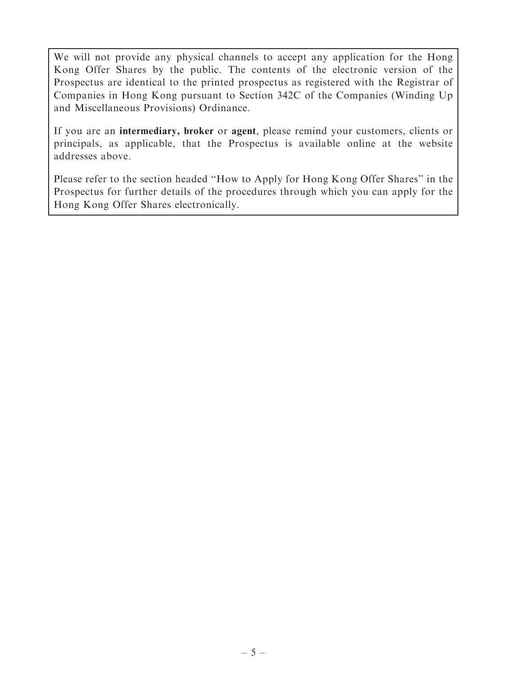We will not provide any physical channels to accept any application for the Hong Kong Offer Shares by the public. The contents of the electronic version of the Prospectus are identical to the printed prospectus as registered with the Registrar of Companies in Hong Kong pursuant to Section 342C of the Companies (Winding Up and Miscellaneous Provisions) Ordinance.

If you are an intermediary, broker or agent, please remind your customers, clients or principals, as applicable, that the Prospectus is available online at the website addresses above.

Please refer to the section headed ''How to Apply for Hong Kong Offer Shares'' in the Prospectus for further details of the procedures through which you can apply for the Hong Kong Offer Shares electronically.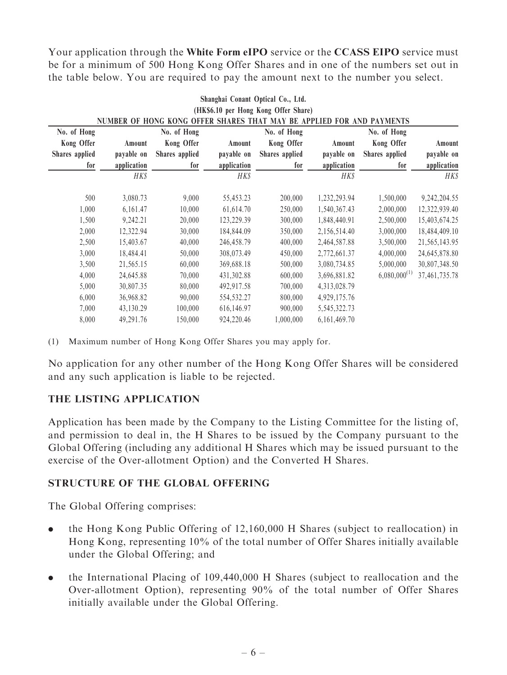Your application through the White Form eIPO service or the CCASS EIPO service must be for a minimum of 500 Hong Kong Offer Shares and in one of the numbers set out in the table below. You are required to pay the amount next to the number you select.

Shanghai Conant Optical Co., Ltd.

| (HK\$6.10 per Hong Kong Offer Share)<br>NUMBER OF HONG KONG OFFER SHARES THAT MAY BE APPLIED FOR AND PAYMENTS |             |                |             |                |                 |                   |               |
|---------------------------------------------------------------------------------------------------------------|-------------|----------------|-------------|----------------|-----------------|-------------------|---------------|
|                                                                                                               |             |                |             |                |                 | No. of Hong       |               |
| Kong Offer                                                                                                    | Amount      | Kong Offer     | Amount      | Kong Offer     | Amount          | Kong Offer        | Amount        |
| Shares applied                                                                                                | payable on  | Shares applied | payable on  | Shares applied | payable on      | Shares applied    | payable on    |
| for                                                                                                           | application | for            | application | for            | application     | for               | application   |
|                                                                                                               | HK\$        |                | HK\$        |                | HK\$            |                   | HK\$          |
| 500                                                                                                           | 3,080.73    | 9,000          | 55,453.23   | 200,000        | 1,232,293.94    | 1,500,000         | 9,242,204.55  |
| 1,000                                                                                                         | 6,161.47    | 10,000         | 61,614.70   | 250,000        | 1,540,367.43    | 2,000,000         | 12,322,939.40 |
| 1,500                                                                                                         | 9,242.21    | 20,000         | 123,229.39  | 300,000        | 1,848,440.91    | 2,500,000         | 15,403,674.25 |
| 2,000                                                                                                         | 12,322.94   | 30,000         | 184,844.09  | 350,000        | 2,156,514.40    | 3,000,000         | 18,484,409.10 |
| 2,500                                                                                                         | 15,403.67   | 40,000         | 246,458.79  | 400,000        | 2,464,587.88    | 3,500,000         | 21,565,143.95 |
| 3,000                                                                                                         | 18,484.41   | 50,000         | 308,073.49  | 450,000        | 2,772,661.37    | 4,000,000         | 24,645,878.80 |
| 3,500                                                                                                         | 21,565.15   | 60,000         | 369,688.18  | 500,000        | 3,080,734.85    | 5,000,000         | 30,807,348.50 |
| 4,000                                                                                                         | 24,645.88   | 70,000         | 431,302.88  | 600,000        | 3,696,881.82    | $6,080,000^{(1)}$ | 37,461,735.78 |
| 5,000                                                                                                         | 30,807.35   | 80,000         | 492,917.58  | 700,000        | 4,313,028.79    |                   |               |
| 6,000                                                                                                         | 36,968.82   | 90,000         | 554,532.27  | 800,000        | 4,929,175.76    |                   |               |
| 7,000                                                                                                         | 43,130.29   | 100,000        | 616,146.97  | 900,000        | 5, 545, 322. 73 |                   |               |
| 8,000                                                                                                         | 49,291.76   | 150,000        | 924,220.46  | 1,000,000      | 6, 161, 469. 70 |                   |               |

(1) Maximum number of Hong Kong Offer Shares you may apply for.

No application for any other number of the Hong Kong Offer Shares will be considered and any such application is liable to be rejected.

## THE LISTING APPLICATION

Application has been made by the Company to the Listing Committee for the listing of, and permission to deal in, the H Shares to be issued by the Company pursuant to the Global Offering (including any additional H Shares which may be issued pursuant to the exercise of the Over-allotment Option) and the Converted H Shares.

## STRUCTURE OF THE GLOBAL OFFERING

The Global Offering comprises:

- . the Hong Kong Public Offering of 12,160,000 H Shares (subject to reallocation) in Hong Kong, representing 10% of the total number of Offer Shares initially available under the Global Offering; and
- . the International Placing of 109,440,000 H Shares (subject to reallocation and the Over-allotment Option), representing 90% of the total number of Offer Shares initially available under the Global Offering.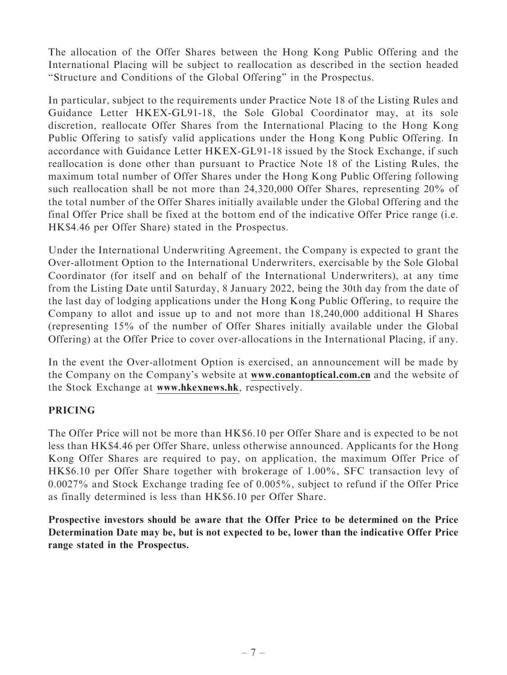The allocation of the Offer Shares between the Hong Kong Public Offering and the International Placing will be subject to reallocation as described in the section headed "Structure and Conditions of the Global Offering" in the Prospectus.

In particular, subject to the requirements under Practice Note 18 of the Listing Rules and Guidance Letter HKEX-GL91-18, the Sole Global Coordinator may, at its sole discretion, reallocate Offer Shares from the International Placing to the Hong Kong Public Offering to satisfy valid applications under the Hong Kong Public Offering. In accordance with Guidance Letter HKEX-GL91-18 issued by the Stock Exchange, if such reallocation is done other than pursuant to Practice Note 18 of the Listing Rules, the maximum total number of Offer Shares under the Hong Kong Public Offering following such reallocation shall be not more than 24,320,000 Offer Shares, representing 20% of the total number of the Offer Shares initially available under the Global Offering and the final Offer Price shall be fixed at the bottom end of the indicative Offer Price range (i.e. HK\$4.46 per Offer Share) stated in the Prospectus.

Under the International Underwriting Agreement, the Company is expected to grant the Over-allotment Option to the International Underwriters, exercisable by the Sole Global Coordinator (for itself and on behalf of the International Underwriters), at any time from the Listing Date until Saturday, 8 January 2022, being the 30th day from the date of the last day of lodging applications under the Hong Kong Public Offering, to require the Company to allot and issue up to and not more than 18,240,000 additional H Shares (representing 15% of the number of Offer Shares initially available under the Global Offering) at the Offer Price to cover over-allocations in the International Placing, if any.

In the event the Over-allotment Option is exercised, an announcement will be made by the Company on the Company's website at www.conantoptical.com.cn and the website of the Stock Exchange at www.hkexnews.hk, respectively.

## PRICING

The Offer Price will not be more than HK\$6.10 per Offer Share and is expected to be not less than HK\$4.46 per Offer Share, unless otherwise announced. Applicants for the Hong Kong Offer Shares are required to pay, on application, the maximum Offer Price of HK\$6.10 per Offer Share together with brokerage of 1.00%, SFC transaction levy of 0.0027% and Stock Exchange trading fee of 0.005%, subject to refund if the Offer Price as finally determined is less than HK\$6.10 per Offer Share.

Prospective investors should be aware that the Offer Price to be determined on the Price Determination Date may be, but is not expected to be, lower than the indicative Offer Price range stated in the Prospectus.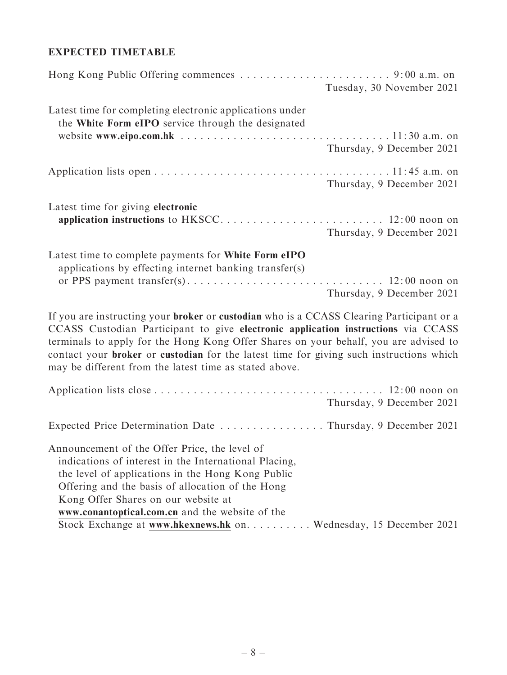### EXPECTED TIMETABLE

|                                                                                                                                                                                                                                                                                                                                                                                                                            | Tuesday, 30 November 2021 |
|----------------------------------------------------------------------------------------------------------------------------------------------------------------------------------------------------------------------------------------------------------------------------------------------------------------------------------------------------------------------------------------------------------------------------|---------------------------|
| Latest time for completing electronic applications under<br>the White Form eIPO service through the designated                                                                                                                                                                                                                                                                                                             |                           |
|                                                                                                                                                                                                                                                                                                                                                                                                                            | Thursday, 9 December 2021 |
|                                                                                                                                                                                                                                                                                                                                                                                                                            | Thursday, 9 December 2021 |
| Latest time for giving electronic                                                                                                                                                                                                                                                                                                                                                                                          |                           |
|                                                                                                                                                                                                                                                                                                                                                                                                                            | Thursday, 9 December 2021 |
| Latest time to complete payments for White Form eIPO<br>applications by effecting internet banking transfer(s)                                                                                                                                                                                                                                                                                                             |                           |
|                                                                                                                                                                                                                                                                                                                                                                                                                            | Thursday, 9 December 2021 |
| If you are instructing your broker or custodian who is a CCASS Clearing Participant or a<br>CCASS Custodian Participant to give electronic application instructions via CCASS<br>terminals to apply for the Hong Kong Offer Shares on your behalf, you are advised to<br>contact your broker or custodian for the latest time for giving such instructions which<br>may be different from the latest time as stated above. |                           |
|                                                                                                                                                                                                                                                                                                                                                                                                                            | Thursday, 9 December 2021 |
| Expected Price Determination Date  Thursday, 9 December 2021                                                                                                                                                                                                                                                                                                                                                               |                           |
| Announcement of the Offer Price, the level of<br>indications of interest in the International Placing,<br>the level of applications in the Hong Kong Public<br>Offering and the basis of allocation of the Hong                                                                                                                                                                                                            |                           |

Kong Offer Shares on our website at

www.conantoptical.com.cn and the website of the Stock Exchange at www.hkexnews.hk on. . . . . . . . . . Wednesday, 15 December 2021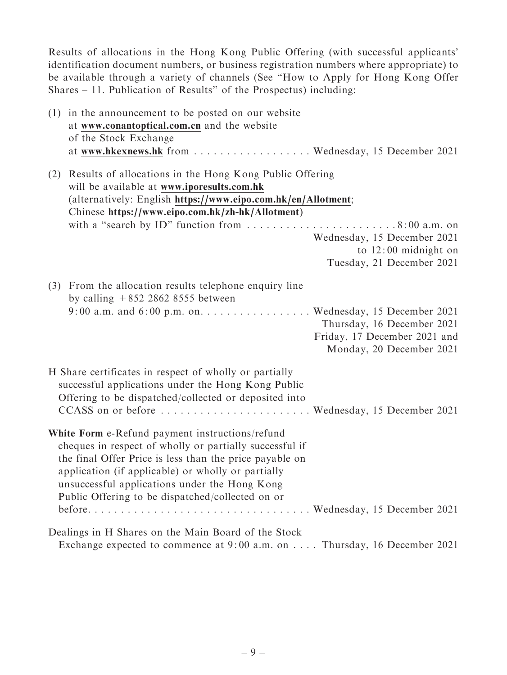Results of allocations in the Hong Kong Public Offering (with successful applicants' identification document numbers, or business registration numbers where appropriate) to be available through a variety of channels (See ''How to Apply for Hong Kong Offer Shares – 11. Publication of Results'' of the Prospectus) including:

|     | (1) in the announcement to be posted on our website                                                                                                                                                                                                                                                                              |                              |
|-----|----------------------------------------------------------------------------------------------------------------------------------------------------------------------------------------------------------------------------------------------------------------------------------------------------------------------------------|------------------------------|
|     | at www.conantoptical.com.cn and the website                                                                                                                                                                                                                                                                                      |                              |
|     | of the Stock Exchange                                                                                                                                                                                                                                                                                                            |                              |
|     | at www.hkexnews.hk from Wednesday, 15 December 2021                                                                                                                                                                                                                                                                              |                              |
| (2) | Results of allocations in the Hong Kong Public Offering<br>will be available at www.iporesults.com.hk<br>(alternatively: English https://www.eipo.com.hk/en/Allotment;                                                                                                                                                           |                              |
|     | Chinese https://www.eipo.com.hk/zh-hk/Allotment)                                                                                                                                                                                                                                                                                 |                              |
|     |                                                                                                                                                                                                                                                                                                                                  |                              |
|     |                                                                                                                                                                                                                                                                                                                                  | Wednesday, 15 December 2021  |
|     |                                                                                                                                                                                                                                                                                                                                  | to $12:00$ midnight on       |
|     |                                                                                                                                                                                                                                                                                                                                  | Tuesday, 21 December 2021    |
|     | (3) From the allocation results telephone enquiry line<br>by calling $+852$ 2862 8555 between                                                                                                                                                                                                                                    |                              |
|     | 9:00 a.m. and 6:00 p.m. on Wednesday, 15 December 2021                                                                                                                                                                                                                                                                           |                              |
|     |                                                                                                                                                                                                                                                                                                                                  | Thursday, 16 December 2021   |
|     |                                                                                                                                                                                                                                                                                                                                  | Friday, 17 December 2021 and |
|     |                                                                                                                                                                                                                                                                                                                                  | Monday, 20 December 2021     |
|     | H Share certificates in respect of wholly or partially<br>successful applications under the Hong Kong Public<br>Offering to be dispatched/collected or deposited into                                                                                                                                                            |                              |
|     |                                                                                                                                                                                                                                                                                                                                  |                              |
|     | White Form e-Refund payment instructions/refund<br>cheques in respect of wholly or partially successful if<br>the final Offer Price is less than the price payable on<br>application (if applicable) or wholly or partially<br>unsuccessful applications under the Hong Kong<br>Public Offering to be dispatched/collected on or |                              |
|     |                                                                                                                                                                                                                                                                                                                                  |                              |
|     |                                                                                                                                                                                                                                                                                                                                  |                              |
|     | Dealings in H Shares on the Main Board of the Stock                                                                                                                                                                                                                                                                              |                              |
|     | Exchange expected to commence at 9:00 a.m. on Thursday, 16 December 2021                                                                                                                                                                                                                                                         |                              |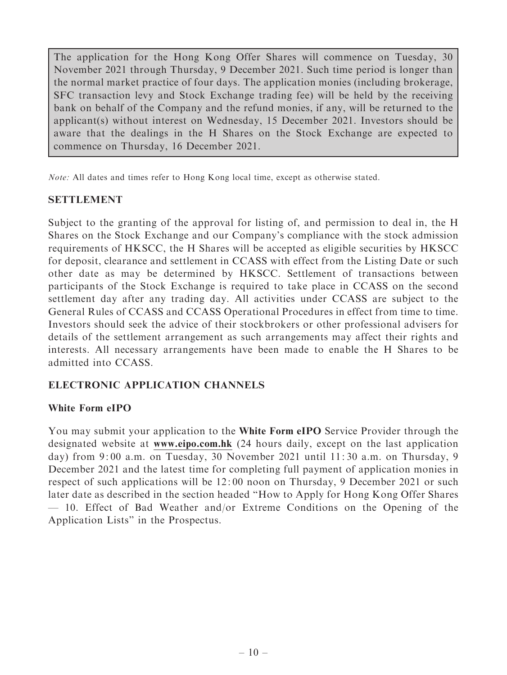The application for the Hong Kong Offer Shares will commence on Tuesday, 30 November 2021 through Thursday, 9 December 2021. Such time period is longer than the normal market practice of four days. The application monies (including brokerage, SFC transaction levy and Stock Exchange trading fee) will be held by the receiving bank on behalf of the Company and the refund monies, if any, will be returned to the applicant(s) without interest on Wednesday, 15 December 2021. Investors should be aware that the dealings in the H Shares on the Stock Exchange are expected to commence on Thursday, 16 December 2021.

Note: All dates and times refer to Hong Kong local time, except as otherwise stated.

### SETTLEMENT

Subject to the granting of the approval for listing of, and permission to deal in, the H Shares on the Stock Exchange and our Company's compliance with the stock admission requirements of HKSCC, the H Shares will be accepted as eligible securities by HKSCC for deposit, clearance and settlement in CCASS with effect from the Listing Date or such other date as may be determined by HKSCC. Settlement of transactions between participants of the Stock Exchange is required to take place in CCASS on the second settlement day after any trading day. All activities under CCASS are subject to the General Rules of CCASS and CCASS Operational Procedures in effect from time to time. Investors should seek the advice of their stockbrokers or other professional advisers for details of the settlement arrangement as such arrangements may affect their rights and interests. All necessary arrangements have been made to enable the H Shares to be admitted into CCASS.

### ELECTRONIC APPLICATION CHANNELS

### White Form eIPO

You may submit your application to the White Form eIPO Service Provider through the designated website at www.eipo.com.hk (24 hours daily, except on the last application day) from 9: 00 a.m. on Tuesday, 30 November 2021 until 11: 30 a.m. on Thursday, 9 December 2021 and the latest time for completing full payment of application monies in respect of such applications will be 12: 00 noon on Thursday, 9 December 2021 or such later date as described in the section headed ''How to Apply for Hong Kong Offer Shares — 10. Effect of Bad Weather and/or Extreme Conditions on the Opening of the Application Lists'' in the Prospectus.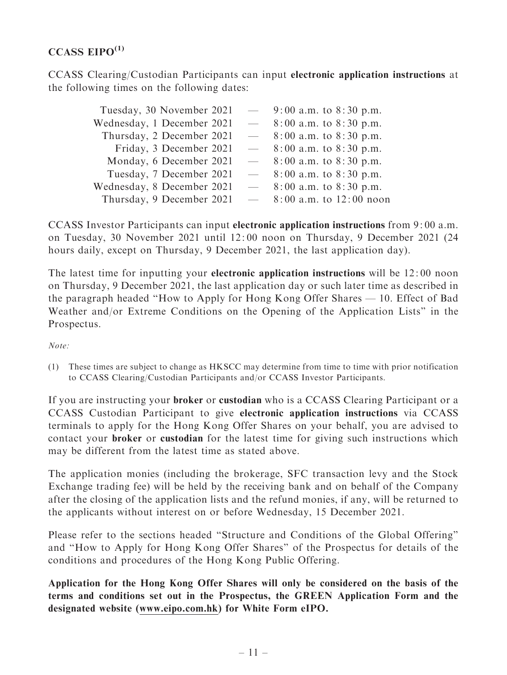## $CCASS EIPO<sup>(1)</sup>$

CCASS Clearing/Custodian Participants can input electronic application instructions at the following times on the following dates:

| Tuesday, 30 November 2021  | $\overline{\phantom{a}}$ | $9:00$ a.m. to $8:30$ p.m. |
|----------------------------|--------------------------|----------------------------|
| Wednesday, 1 December 2021 | $\overline{\phantom{m}}$ | $8:00$ a.m. to $8:30$ p.m. |
| Thursday, 2 December 2021  | $\overline{\phantom{m}}$ | $8:00$ a.m. to $8:30$ p.m. |
| Friday, 3 December 2021    | $\overline{\phantom{m}}$ | $8:00$ a.m. to $8:30$ p.m. |
| Monday, 6 December 2021    | $\overline{\phantom{a}}$ | $8:00$ a.m. to $8:30$ p.m. |
| Tuesday, 7 December 2021   | $\overline{\phantom{a}}$ | $8:00$ a.m. to $8:30$ p.m. |
| Wednesday, 8 December 2021 | $\overline{\phantom{m}}$ | $8:00$ a.m. to $8:30$ p.m. |
| Thursday, 9 December 2021  | $\overline{\phantom{a}}$ | 8:00 a.m. to 12:00 noon    |
|                            |                          |                            |

CCASS Investor Participants can input electronic application instructions from 9: 00 a.m. on Tuesday, 30 November 2021 until 12: 00 noon on Thursday, 9 December 2021 (24 hours daily, except on Thursday, 9 December 2021, the last application day).

The latest time for inputting your **electronic application instructions** will be 12:00 noon on Thursday, 9 December 2021, the last application day or such later time as described in the paragraph headed ''How to Apply for Hong Kong Offer Shares — 10. Effect of Bad Weather and/or Extreme Conditions on the Opening of the Application Lists" in the Prospectus.

Note:

(1) These times are subject to change as HKSCC may determine from time to time with prior notification to CCASS Clearing/Custodian Participants and/or CCASS Investor Participants.

If you are instructing your broker or custodian who is a CCASS Clearing Participant or a CCASS Custodian Participant to give electronic application instructions via CCASS terminals to apply for the Hong Kong Offer Shares on your behalf, you are advised to contact your broker or custodian for the latest time for giving such instructions which may be different from the latest time as stated above.

The application monies (including the brokerage, SFC transaction levy and the Stock Exchange trading fee) will be held by the receiving bank and on behalf of the Company after the closing of the application lists and the refund monies, if any, will be returned to the applicants without interest on or before Wednesday, 15 December 2021.

Please refer to the sections headed ''Structure and Conditions of the Global Offering'' and ''How to Apply for Hong Kong Offer Shares'' of the Prospectus for details of the conditions and procedures of the Hong Kong Public Offering.

Application for the Hong Kong Offer Shares will only be considered on the basis of the terms and conditions set out in the Prospectus, the GREEN Application Form and the designated website (www.eipo.com.hk) for White Form eIPO.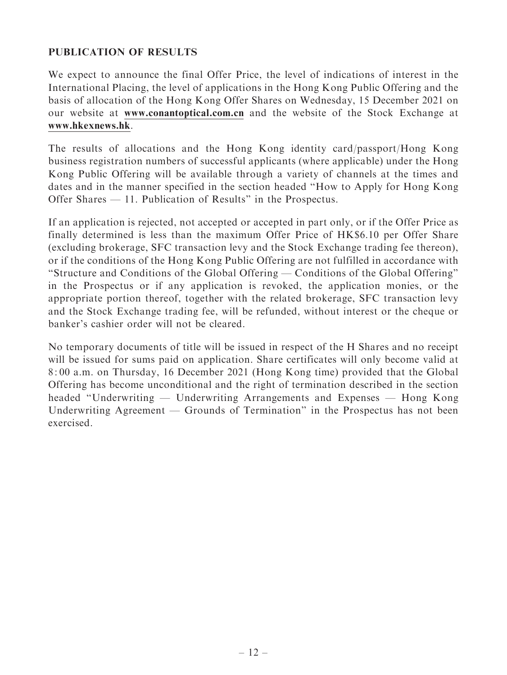## PUBLICATION OF RESULTS

We expect to announce the final Offer Price, the level of indications of interest in the International Placing, the level of applications in the Hong Kong Public Offering and the basis of allocation of the Hong Kong Offer Shares on Wednesday, 15 December 2021 on our website at www.conantoptical.com.cn and the website of the Stock Exchange at www.hkexnews.hk.

The results of allocations and the Hong Kong identity card/passport/Hong Kong business registration numbers of successful applicants (where applicable) under the Hong Kong Public Offering will be available through a variety of channels at the times and dates and in the manner specified in the section headed ''How to Apply for Hong Kong Offer Shares — 11. Publication of Results'' in the Prospectus.

If an application is rejected, not accepted or accepted in part only, or if the Offer Price as finally determined is less than the maximum Offer Price of HK\$6.10 per Offer Share (excluding brokerage, SFC transaction levy and the Stock Exchange trading fee thereon), or if the conditions of the Hong Kong Public Offering are not fulfilled in accordance with ''Structure and Conditions of the Global Offering — Conditions of the Global Offering'' in the Prospectus or if any application is revoked, the application monies, or the appropriate portion thereof, together with the related brokerage, SFC transaction levy and the Stock Exchange trading fee, will be refunded, without interest or the cheque or banker's cashier order will not be cleared.

No temporary documents of title will be issued in respect of the H Shares and no receipt will be issued for sums paid on application. Share certificates will only become valid at 8: 00 a.m. on Thursday, 16 December 2021 (Hong Kong time) provided that the Global Offering has become unconditional and the right of termination described in the section headed ''Underwriting — Underwriting Arrangements and Expenses — Hong Kong Underwriting Agreement — Grounds of Termination'' in the Prospectus has not been exercised.